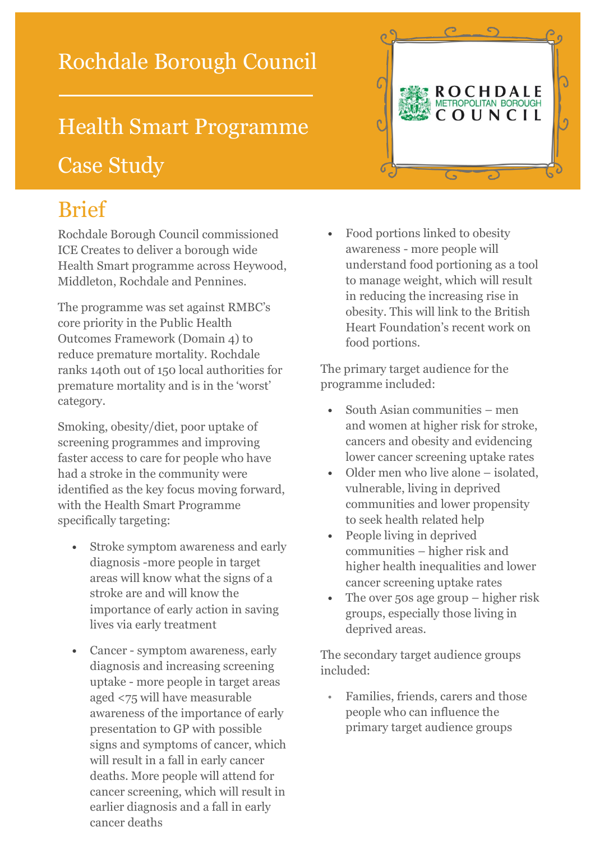#### Rochdale Borough Council

# Health Smart Programme Case Study



# Brief

Rochdale Borough Council commissioned ICE Creates to deliver a borough wide Health Smart programme across Heywood, Middleton, Rochdale and Pennines.

The programme was set against RMBC's core priority in the Public Health Outcomes Framework (Domain 4) to reduce premature mortality. Rochdale ranks 140th out of 150 local authorities for premature mortality and is in the 'worst' category.

Smoking, obesity/diet, poor uptake of screening programmes and improving faster access to care for people who have had a stroke in the community were identified as the key focus moving forward, with the Health Smart Programme specifically targeting:

- **•** Stroke symptom awareness and early diagnosis -more people in target areas will know what the signs of a stroke are and will know the importance of early action in saving lives via early treatment
- **•** Cancer symptom awareness, early diagnosis and increasing screening uptake - more people in target areas aged <75 will have measurable awareness of the importance of early presentation to GP with possible signs and symptoms of cancer, which will result in a fall in early cancer deaths. More people will attend for cancer screening, which will result in earlier diagnosis and a fall in early cancer deaths

**•** Food portions linked to obesity awareness - more people will understand food portioning as a tool to manage weight, which will result in reducing the increasing rise in obesity. This will link to the British Heart Foundation's recent work on food portions.

The primary target audience for the programme included:

- **•** South Asian communities men and women at higher risk for stroke, cancers and obesity and evidencing lower cancer screening uptake rates
- **•** Older men who live alone isolated, vulnerable, living in deprived communities and lower propensity to seek health related help
- **•** People living in deprived communities – higher risk and higher health inequalities and lower cancer screening uptake rates
- **•** The over 50s age group higher risk groups, especially those living in deprived areas.

The secondary target audience groups included:

• Families, friends, carers and those people who can influence the primary target audience groups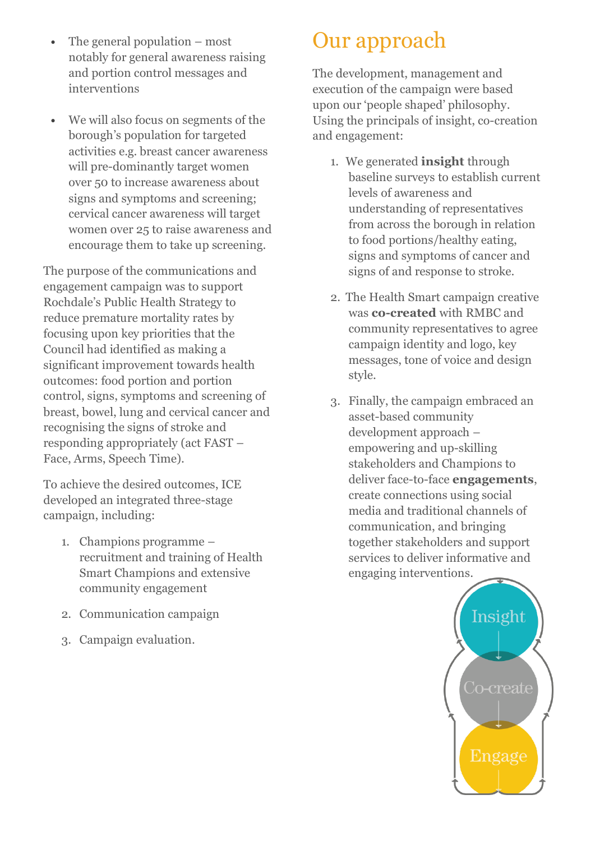- **•** The general population most notably for general awareness raising and portion control messages and interventions
- **•** We will also focus on segments of the borough's population for targeted activities e.g. breast cancer awareness will pre-dominantly target women over 50 to increase awareness about signs and symptoms and screening; cervical cancer awareness will target women over 25 to raise awareness and encourage them to take up screening.

The purpose of the communications and engagement campaign was to support Rochdale's Public Health Strategy to reduce premature mortality rates by focusing upon key priorities that the Council had identified as making a significant improvement towards health outcomes: food portion and portion control, signs, symptoms and screening of breast, bowel, lung and cervical cancer and recognising the signs of stroke and responding appropriately (act FAST – Face, Arms, Speech Time).

To achieve the desired outcomes, ICE developed an integrated three-stage campaign, including:

- 1. Champions programme recruitment and training of Health Smart Champions and extensive community engagement
- 2. Communication campaign
- 3. Campaign evaluation.

# Our approach

The development, management and execution of the campaign were based upon our 'people shaped' philosophy. Using the principals of insight, co-creation and engagement:

- 1. We generated **insight** through baseline surveys to establish current levels of awareness and understanding of representatives from across the borough in relation to food portions/healthy eating, signs and symptoms of cancer and signs of and response to stroke.
- 2. The Health Smart campaign creative was **co-created** with RMBC and community representatives to agree campaign identity and logo, key messages, tone of voice and design style.
- 3. Finally, the campaign embraced an asset-based community development approach – empowering and up-skilling stakeholders and Champions to deliver face-to-face **engagements**, create connections using social media and traditional channels of communication, and bringing together stakeholders and support services to deliver informative and engaging interventions.

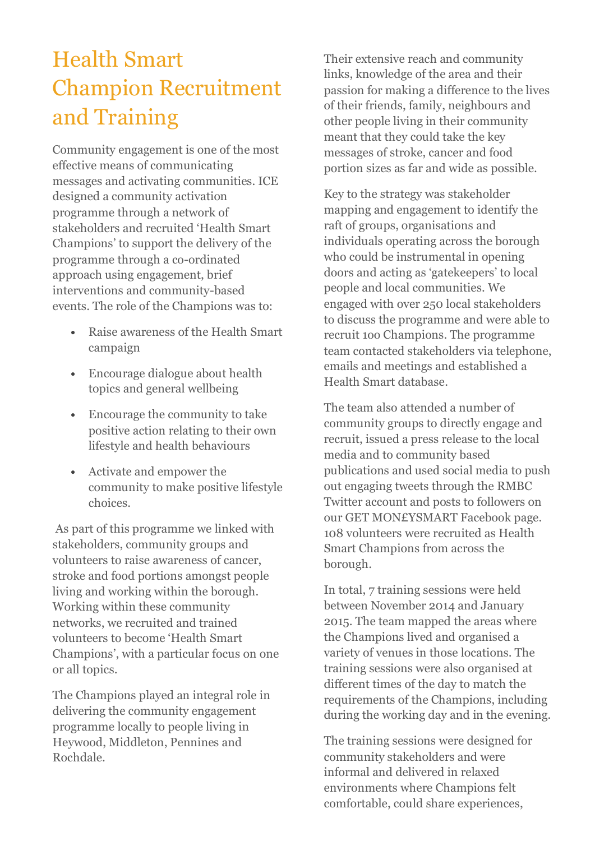# Health Smart Champion Recruitment and Training

Community engagement is one of the most effective means of communicating messages and activating communities. ICE designed a community activation programme through a network of stakeholders and recruited 'Health Smart Champions' to support the delivery of the programme through a co-ordinated approach using engagement, brief interventions and community-based events. The role of the Champions was to:

- **•** Raise awareness of the Health Smart campaign
- **•** Encourage dialogue about health topics and general wellbeing
- **•** Encourage the community to take positive action relating to their own lifestyle and health behaviours
- **•** Activate and empower the community to make positive lifestyle choices.

As part of this programme we linked with stakeholders, community groups and volunteers to raise awareness of cancer, stroke and food portions amongst people living and working within the borough. Working within these community networks, we recruited and trained volunteers to become 'Health Smart Champions', with a particular focus on one or all topics.

The Champions played an integral role in delivering the community engagement programme locally to people living in Heywood, Middleton, Pennines and Rochdale.

Their extensive reach and community links, knowledge of the area and their passion for making a difference to the lives of their friends, family, neighbours and other people living in their community meant that they could take the key messages of stroke, cancer and food portion sizes as far and wide as possible.

Key to the strategy was stakeholder mapping and engagement to identify the raft of groups, organisations and individuals operating across the borough who could be instrumental in opening doors and acting as 'gatekeepers' to local people and local communities. We engaged with over 250 local stakeholders to discuss the programme and were able to recruit 1oo Champions. The programme team contacted stakeholders via telephone, emails and meetings and established a Health Smart database.

The team also attended a number of community groups to directly engage and recruit, issued a press release to the local media and to community based publications and used social media to push out engaging tweets through the RMBC Twitter account and posts to followers on our GET MON£YSMART Facebook page. 108 volunteers were recruited as Health Smart Champions from across the borough.

In total, 7 training sessions were held between November 2014 and January 2015. The team mapped the areas where the Champions lived and organised a variety of venues in those locations. The training sessions were also organised at different times of the day to match the requirements of the Champions, including during the working day and in the evening.

The training sessions were designed for community stakeholders and were informal and delivered in relaxed environments where Champions felt comfortable, could share experiences,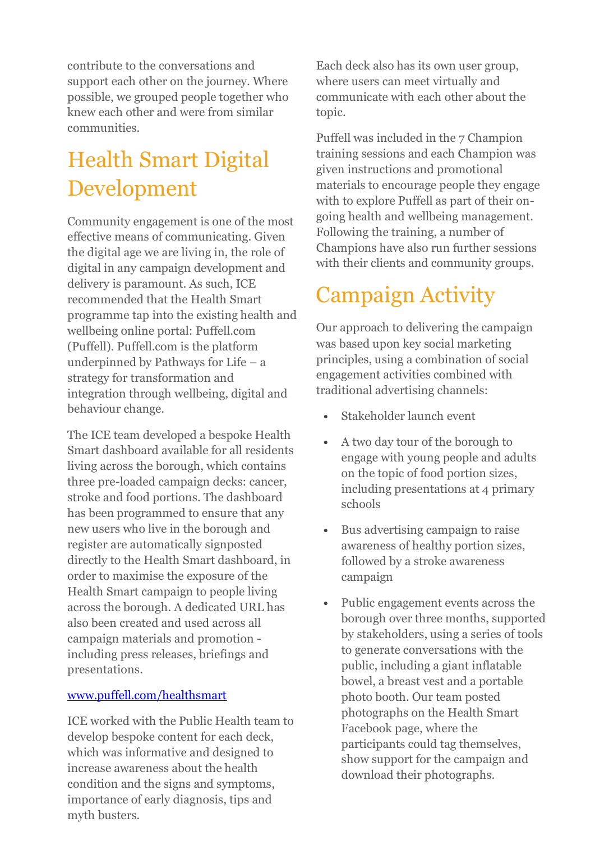contribute to the conversations and support each other on the journey. Where possible, we grouped people together who knew each other and were from similar communities.

# Health Smart Digital Development

Community engagement is one of the most effective means of communicating. Given the digital age we are living in, the role of digital in any campaign development and delivery is paramount. As such, ICE recommended that the Health Smart programme tap into the existing health and wellbeing online portal: Puffell.com (Puffell). Puffell.com is the platform underpinned by Pathways for Life – a strategy for transformation and integration through wellbeing, digital and behaviour change.

The ICE team developed a bespoke Health Smart dashboard available for all residents living across the borough, which contains three pre-loaded campaign decks: cancer, stroke and food portions. The dashboard has been programmed to ensure that any new users who live in the borough and register are automatically signposted directly to the Health Smart dashboard, in order to maximise the exposure of the Health Smart campaign to people living across the borough. A dedicated URL has also been created and used across all campaign materials and promotion including press releases, briefings and presentations.

#### [www.puffell.com/healthsmart](http://www.puffell.com/healthsmart)

ICE worked with the Public Health team to develop bespoke content for each deck, which was informative and designed to increase awareness about the health condition and the signs and symptoms, importance of early diagnosis, tips and myth busters.

Each deck also has its own user group, where users can meet virtually and communicate with each other about the topic.

Puffell was included in the 7 Champion training sessions and each Champion was given instructions and promotional materials to encourage people they engage with to explore Puffell as part of their ongoing health and wellbeing management. Following the training, a number of Champions have also run further sessions with their clients and community groups.

# Campaign Activity

Our approach to delivering the campaign was based upon key social marketing principles, using a combination of social engagement activities combined with traditional advertising channels:

- **•** Stakeholder launch event
- **•** A two day tour of the borough to engage with young people and adults on the topic of food portion sizes, including presentations at 4 primary schools
- **•** Bus advertising campaign to raise awareness of healthy portion sizes, followed by a stroke awareness campaign
- **•** Public engagement events across the borough over three months, supported by stakeholders, using a series of tools to generate conversations with the public, including a giant inflatable bowel, a breast vest and a portable photo booth. Our team posted photographs on the Health Smart Facebook page, where the participants could tag themselves, show support for the campaign and download their photographs.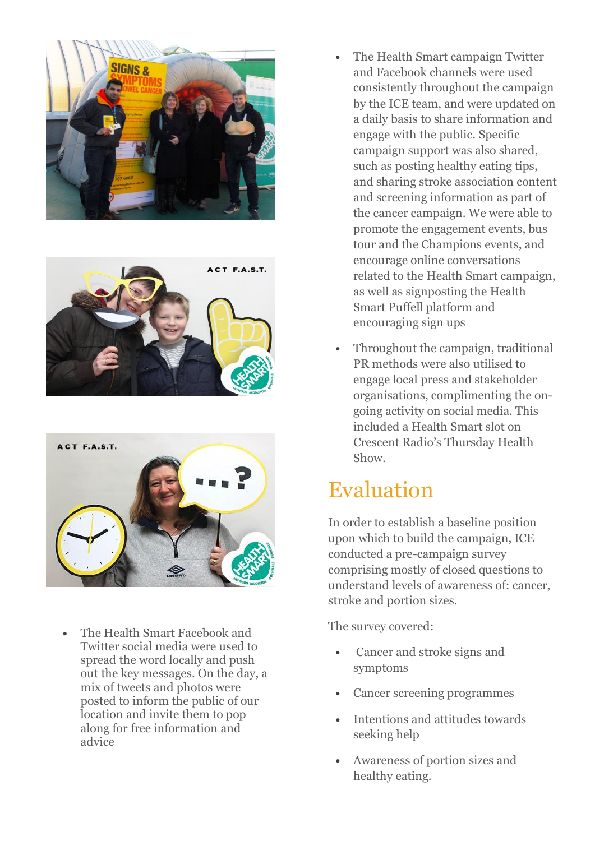





**•** The Health Smart Facebook and Twitter social media were used to spread the word locally and push out the key messages. On the day, a mix of tweets and photos were posted to inform the public of our location and invite them to pop along for free information and advice

- **•** The Health Smart campaign Twitter and Facebook channels were used consistently throughout the campaign by the ICE team, and were updated on a daily basis to share information and engage with the public. Specific campaign support was also shared, such as posting healthy eating tips, and sharing stroke association content and screening information as part of the cancer campaign. We were able to promote the engagement events, bus tour and the Champions events, and encourage online conversations related to the Health Smart campaign, as well as signposting the Health Smart Puffell platform and encouraging sign ups
- **•** Throughout the campaign, traditional PR methods were also utilised to engage local press and stakeholder organisations, complimenting the ongoing activity on social media. This included a Health Smart slot on Crescent Radio's Thursday Health Show.

## Evaluation

In order to establish a baseline position upon which to build the campaign, ICE conducted a pre-campaign survey comprising mostly of closed questions to understand levels of awareness of: cancer, stroke and portion sizes.

The survey covered:

- **•** Cancer and stroke signs and symptoms
- **•** Cancer screening programmes
- **•** Intentions and attitudes towards seeking help
- **•** Awareness of portion sizes and healthy eating.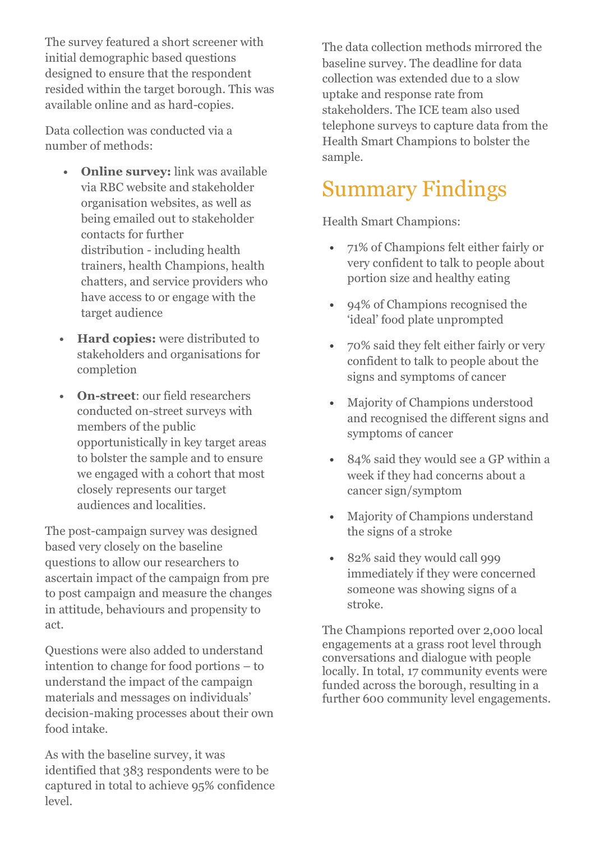The survey featured a short screener with initial demographic based questions designed to ensure that the respondent resided within the target borough. This was available online and as hard-copies.

Data collection was conducted via a number of methods:

- **• Online survey:** link was available via RBC website and stakeholder organisation websites, as well as being emailed out to stakeholder contacts for further distribution - including health trainers, health Champions, health chatters, and service providers who have access to or engage with the target audience
- **• Hard copies:** were distributed to stakeholders and organisations for completion
- **• On-street**: our field researchers conducted on-street surveys with members of the public opportunistically in key target areas to bolster the sample and to ensure we engaged with a cohort that most closely represents our target audiences and localities.

The post-campaign survey was designed based very closely on the baseline questions to allow our researchers to ascertain impact of the campaign from pre to post campaign and measure the changes in attitude, behaviours and propensity to act.

Questions were also added to understand intention to change for food portions – to understand the impact of the campaign materials and messages on individuals' decision-making processes about their own food intake.

As with the baseline survey, it was identified that 383 respondents were to be captured in total to achieve 95% confidence level.

The data collection methods mirrored the baseline survey. The deadline for data collection was extended due to a slow uptake and response rate from stakeholders. The ICE team also used telephone surveys to capture data from the Health Smart Champions to bolster the sample.

#### Summary Findings

Health Smart Champions:

- **•** 71% of Champions felt either fairly or very confident to talk to people about portion size and healthy eating
- **•** 94% of Champions recognised the 'ideal' food plate unprompted
- **•** 70% said they felt either fairly or very confident to talk to people about the signs and symptoms of cancer
- **•** Majority of Champions understood and recognised the different signs and symptoms of cancer
- **•** 84% said they would see a GP within a week if they had concerns about a cancer sign/symptom
- **•** Majority of Champions understand the signs of a stroke
- **•** 82% said they would call 999 immediately if they were concerned someone was showing signs of a stroke.

The Champions reported over 2,000 local engagements at a grass root level through conversations and dialogue with people locally. In total, 17 community events were funded across the borough, resulting in a further 600 community level engagements.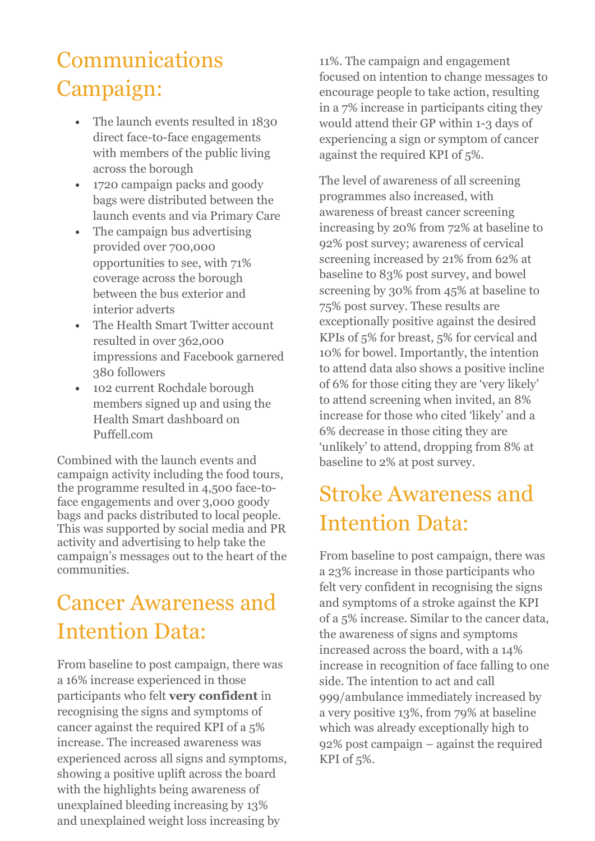# Communications Campaign:

- **•** The launch events resulted in 1830 direct face-to-face engagements with members of the public living across the borough
- **•** 1720 campaign packs and goody bags were distributed between the launch events and via Primary Care
- **•** The campaign bus advertising provided over 700,000 opportunities to see, with 71% coverage across the borough between the bus exterior and interior adverts
- **•** The Health Smart Twitter account resulted in over 362,000 impressions and Facebook garnered 380 followers
- **•** 102 current Rochdale borough members signed up and using the Health Smart dashboard on Puffell.com

Combined with the launch events and campaign activity including the food tours, the programme resulted in 4,500 face-toface engagements and over 3,000 goody bags and packs distributed to local people. This was supported by social media and PR activity and advertising to help take the campaign's messages out to the heart of the communities.

# Cancer Awareness and Intention Data:

From baseline to post campaign, there was a 16% increase experienced in those participants who felt **very confident** in recognising the signs and symptoms of cancer against the required KPI of a 5% increase. The increased awareness was experienced across all signs and symptoms, showing a positive uplift across the board with the highlights being awareness of unexplained bleeding increasing by 13% and unexplained weight loss increasing by

11%. The campaign and engagement focused on intention to change messages to encourage people to take action, resulting in a 7% increase in participants citing they would attend their GP within 1-3 days of experiencing a sign or symptom of cancer against the required KPI of 5%.

The level of awareness of all screening programmes also increased, with awareness of breast cancer screening increasing by 20% from 72% at baseline to 92% post survey; awareness of cervical screening increased by 21% from 62% at baseline to 83% post survey, and bowel screening by 30% from 45% at baseline to 75% post survey. These results are exceptionally positive against the desired KPIs of 5% for breast, 5% for cervical and 10% for bowel. Importantly, the intention to attend data also shows a positive incline of 6% for those citing they are 'very likely' to attend screening when invited, an 8% increase for those who cited 'likely' and a 6% decrease in those citing they are 'unlikely' to attend, dropping from 8% at baseline to 2% at post survey.

# Stroke Awareness and Intention Data:

From baseline to post campaign, there was a 23% increase in those participants who felt very confident in recognising the signs and symptoms of a stroke against the KPI of a 5% increase. Similar to the cancer data, the awareness of signs and symptoms increased across the board, with a 14% increase in recognition of face falling to one side. The intention to act and call 999/ambulance immediately increased by a very positive 13%, from 79% at baseline which was already exceptionally high to 92% post campaign – against the required KPI of 5%.